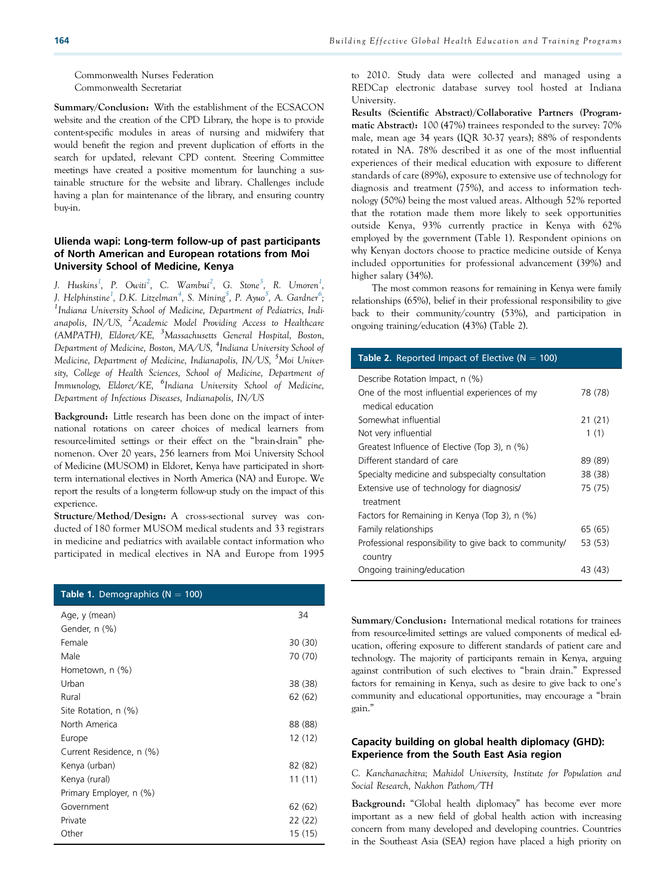Commonwealth Nurses Federation Commonwealth Secretariat

Summary/Conclusion: With the establishment of the ECSACON website and the creation of the CPD Library, the hope is to provide content-specific modules in areas of nursing and midwifery that would benefit the region and prevent duplication of efforts in the search for updated, relevant CPD content. Steering Committee meetings have created a positive momentum for launching a sustainable structure for the website and library. Challenges include having a plan for maintenance of the library, and ensuring country buy-in.

# Ulienda wapi: Long-term follow-up of past participants of North American and European rotations from Moi University School of Medicine, Kenya

J. Huskins<sup>1</sup>, P. Owiti<sup>2</sup>, C. Wambui<sup>2</sup>, G. Stone<sup>3</sup>, R. Umoren<sup>1</sup>, J. Helphinstine<sup>1</sup>, D.K. Litzelman<sup>4</sup>, S. Mining<sup>5</sup>, P. Ayuo<sup>5</sup>, A. Gardner<sup>6</sup>;<br><sup>1</sup>Indiana University School of Madisine, Department of Padistrics, Indi <sup>1</sup>Indiana University School of Medicine, Department of Pediatrics, Indianapolis, IN/US, <sup>2</sup>Academic Model Providing Access to Healthcare (AMPATH), Eldoret/KE, <sup>3</sup>Massachusetts General Hospital, Boston, Department of Medicine, Boston, MA/US, <sup>4</sup>Indiana University School of Medicine, Department of Medicine, Indianapolis, IN/US, <sup>5</sup>Moi University, College of Health Sciences, School of Medicine, Department of Immunology, Eldoret/KE, <sup>6</sup>Indiana University School of Medicine, Department of Infectious Diseases, Indianapolis, IN/US

Background: Little research has been done on the impact of international rotations on career choices of medical learners from resource-limited settings or their effect on the "brain-drain" phenomenon. Over 20 years, 256 learners from Moi University School of Medicine (MUSOM) in Eldoret, Kenya have participated in shortterm international electives in North America (NA) and Europe. We report the results of a long-term follow-up study on the impact of this experience.

Structure/Method/Design: A cross-sectional survey was conducted of 180 former MUSOM medical students and 33 registrars in medicine and pediatrics with available contact information who participated in medical electives in NA and Europe from 1995

| <b>Table 1.</b> Demographics ( $N = 100$ ) |         |
|--------------------------------------------|---------|
| Age, y (mean)                              | 34      |
| Gender, n (%)                              |         |
| Female                                     | 30 (30) |
| Male                                       | 70 (70) |
| Hometown, n (%)                            |         |
| Urban                                      | 38 (38) |
| Rural                                      | 62(62)  |
| Site Rotation, n (%)                       |         |
| North America                              | 88 (88) |
| Europe                                     | 12(12)  |
| Current Residence, n (%)                   |         |
| Kenya (urban)                              | 82 (82) |
| Kenya (rural)                              | 11(11)  |
| Primary Employer, n (%)                    |         |
| Government                                 | 62(62)  |
| Private                                    | 22 (22) |
| Other                                      | 15 (15) |

to 2010. Study data were collected and managed using a REDCap electronic database survey tool hosted at Indiana University.

Results (Scientific Abstract)/Collaborative Partners (Programmatic Abstract): 100 (47%) trainees responded to the survey: 70% male, mean age 34 years (IQR 30-37 years); 88% of respondents rotated in NA. 78% described it as one of the most influential experiences of their medical education with exposure to different standards of care (89%), exposure to extensive use of technology for diagnosis and treatment (75%), and access to information technology (50%) being the most valued areas. Although 52% reported that the rotation made them more likely to seek opportunities outside Kenya, 93% currently practice in Kenya with 62% employed by the government (Table 1). Respondent opinions on why Kenyan doctors choose to practice medicine outside of Kenya included opportunities for professional advancement (39%) and higher salary (34%).

The most common reasons for remaining in Kenya were family relationships (65%), belief in their professional responsibility to give back to their community/country (53%), and participation in ongoing training/education (43%) (Table 2).

| <b>Table 2.</b> Reported Impact of Elective ( $N = 100$ ) |         |
|-----------------------------------------------------------|---------|
| Describe Rotation Impact, n (%)                           |         |
| One of the most influential experiences of my             | 78 (78) |
| medical education                                         |         |
| Somewhat influential                                      | 21 (21) |
| Not very influential                                      | 1(1)    |
| Greatest Influence of Elective (Top 3), n (%)             |         |
| Different standard of care                                | 89 (89) |
| Specialty medicine and subspecialty consultation          | 38 (38) |
| Extensive use of technology for diagnosis/                | 75 (75) |
| treatment                                                 |         |
| Factors for Remaining in Kenya (Top 3), n (%)             |         |
| Family relationships                                      | 65 (65) |
| Professional responsibility to give back to community/    | 53 (53) |
| country                                                   |         |
| Ongoing training/education                                | 43 (43) |

Summary/Conclusion: International medical rotations for trainees from resource-limited settings are valued components of medical education, offering exposure to different standards of patient care and technology. The majority of participants remain in Kenya, arguing against contribution of such electives to "brain drain." Expressed factors for remaining in Kenya, such as desire to give back to one's community and educational opportunities, may encourage a "brain gain."

#### Capacity building on global health diplomacy (GHD): Experience from the South East Asia region

C. Kanchanachitra; Mahidol University, Institute for Population and Social Research, Nakhon Pathom/TH

Background: "Global health diplomacy" has become ever more important as a new field of global health action with increasing concern from many developed and developing countries. Countries in the Southeast Asia (SEA) region have placed a high priority on